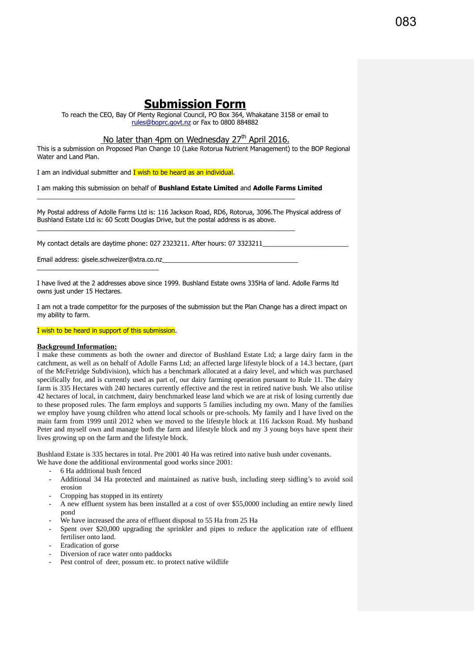# **Submission Form**

To reach the CEO, Bay Of Plenty Regional Council, PO Box 364, Whakatane 3158 or email to [rules@boprc.govt.nz](mailto:rules@boprc.govt.nz) or Fax to 0800 884882

## No later than 4pm on Wednesday  $27<sup>th</sup>$  April 2016.

This is a submission on Proposed Plan Change 10 (Lake Rotorua Nutrient Management) to the BOP Regional Water and Land Plan.

I am an individual submitter and **I** wish to be heard as an individual.

I am making this submission on behalf of **Bushland Estate Limited** and **Adolle Farms Limited**

 $\_$  , and the state of the state of the state of the state of the state of the state of the state of the state of the state of the state of the state of the state of the state of the state of the state of the state of the

 $\_$  , and the state of the state of the state of the state of the state of the state of the state of the state of the state of the state of the state of the state of the state of the state of the state of the state of the

My Postal address of Adolle Farms Ltd is: 116 Jackson Road, RD6, Rotorua, 3096.The Physical address of Bushland Estate Ltd is: 60 Scott Douglas Drive, but the postal address is as above.

My contact details are daytime phone: 027 2323211. After hours: 07 3323211

Email address: gisele.schweizer@xtra.co.nz\_\_\_\_\_\_\_\_\_\_\_\_\_\_\_\_\_\_\_\_\_\_\_\_\_\_\_\_\_\_\_\_\_\_\_\_\_\_ \_\_\_\_\_\_\_\_\_\_\_\_\_\_\_\_\_\_\_\_\_\_\_\_\_\_\_\_\_\_\_\_\_\_

I have lived at the 2 addresses above since 1999. Bushland Estate owns 335Ha of land. Adolle Farms ltd owns just under 15 Hectares.

I am not a trade competitor for the purposes of the submission but the Plan Change has a direct impact on my ability to farm.

#### I wish to be heard in support of this submission.

#### **Background Information:**

I make these comments as both the owner and director of Bushland Estate Ltd; a large dairy farm in the catchment, as well as on behalf of Adolle Farms Ltd; an affected large lifestyle block of a 14.3 hectare, (part of the McFetridge Subdivision), which has a benchmark allocated at a dairy level, and which was purchased specifically for, and is currently used as part of, our dairy farming operation pursuant to Rule 11. The dairy farm is 335 Hectares with 240 hectares currently effective and the rest in retired native bush. We also utilise 42 hectares of local, in catchment, dairy benchmarked lease land which we are at risk of losing currently due to these proposed rules. The farm employs and supports 5 families including my own. Many of the families we employ have young children who attend local schools or pre-schools. My family and I have lived on the main farm from 1999 until 2012 when we moved to the lifestyle block at 116 Jackson Road. My husband Peter and myself own and manage both the farm and lifestyle block and my 3 young boys have spent their lives growing up on the farm and the lifestyle block.

Bushland Estate is 335 hectares in total. Pre 2001 40 Ha was retired into native bush under covenants.

We have done the additional environmental good works since  $2001$ :

- 6 Ha additional bush fenced
- Additional 34 Ha protected and maintained as native bush, including steep sidling's to avoid soil erosion
- Cropping has stopped in its entirety
- A new effluent system has been installed at a cost of over \$55,0000 including an entire newly lined pond
- We have increased the area of effluent disposal to 55 Ha from 25 Ha
- Spent over \$20,000 upgrading the sprinkler and pipes to reduce the application rate of effluent fertiliser onto land.
- Eradication of gorse
- Diversion of race water onto paddocks
- Pest control of deer, possum etc. to protect native wildlife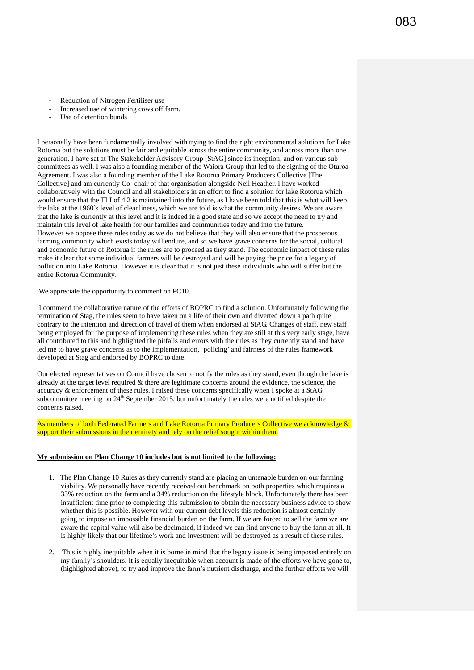- Reduction of Nitrogen Fertiliser use
- Increased use of wintering cows off farm.
- Use of detention bunds

I personally have been fundamentally involved with trying to find the right environmental solutions for Lake Rotorua but the solutions must be fair and equitable across the entire community, and across more than one generation. I have sat at The Stakeholder Advisory Group [StAG] since its inception, and on various subcommittees as well. I was also a founding member of the Waiora Group that led to the signing of the Oturoa Agreement. I was also a founding member of the Lake Rotorua Primary Producers Collective [The Collective] and am currently Co- chair of that organisation alongside Neil Heather. I have worked collaboratively with the Council and all stakeholders in an effort to find a solution for lake Rotorua which would ensure that the TLI of 4.2 is maintained into the future, as I have been told that this is what will keep the lake at the 1960's level of cleanliness, which we are told is what the community desires. We are aware that the lake is currently at this level and it is indeed in a good state and so we accept the need to try and maintain this level of lake health for our families and communities today and into the future. However we oppose these rules today as we do not believe that they will also ensure that the prosperous farming community which exists today will endure, and so we have grave concerns for the social, cultural and economic future of Rotorua if the rules are to proceed as they stand. The economic impact of these rules make it clear that some individual farmers will be destroyed and will be paying the price for a legacy of pollution into Lake Rotorua. However it is clear that it is not just these individuals who will suffer but the entire Rotorua Community.

We appreciate the opportunity to comment on PC10.

I commend the collaborative nature of the efforts of BOPRC to find a solution. Unfortunately following the termination of Stag, the rules seem to have taken on a life of their own and diverted down a path quite contrary to the intention and direction of travel of them when endorsed at StAG. Changes of staff, new staff being employed for the purpose of implementing these rules when they are still at this very early stage, have all contributed to this and highlighted the pitfalls and errors with the rules as they currently stand and have led me to have grave concerns as to the implementation, 'policing' and fairness of the rules framework developed at Stag and endorsed by BOPRC to date.

Our elected representatives on Council have chosen to notify the rules as they stand, even though the lake is already at the target level required  $&$  there are legitimate concerns around the evidence, the science, the accuracy & enforcement of these rules. I raised these concerns specifically when I spoke at a StAG subcommittee meeting on 24<sup>th</sup> September 2015, but unfortunately the rules were notified despite the concerns raised.

As members of both Federated Farmers and Lake Rotorua Primary Producers Collective we acknowledge & support their submissions in their entirety and rely on the relief sought within them.

### **My submission on Plan Change 10 includes but is not limited to the following:**

- 1. The Plan Change 10 Rules as they currently stand are placing an untenable burden on our farming viability. We personally have recently received out benchmark on both properties which requires a 33% reduction on the farm and a 34% reduction on the lifestyle block. Unfortunately there has been insufficient time prior to completing this submission to obtain the necessary business advice to show whether this is possible. However with our current debt levels this reduction is almost certainly going to impose an impossible financial burden on the farm. If we are forced to sell the farm we are aware the capital value will also be decimated, if indeed we can find anyone to buy the farm at all. It is highly likely that our lifetime's work and investment will be destroyed as a result of these rules.
- 2. This is highly inequitable when it is borne in mind that the legacy issue is being imposed entirely on my family's shoulders. It is equally inequitable when account is made of the efforts we have gone to, (highlighted above), to try and improve the farm's nutrient discharge, and the further efforts we will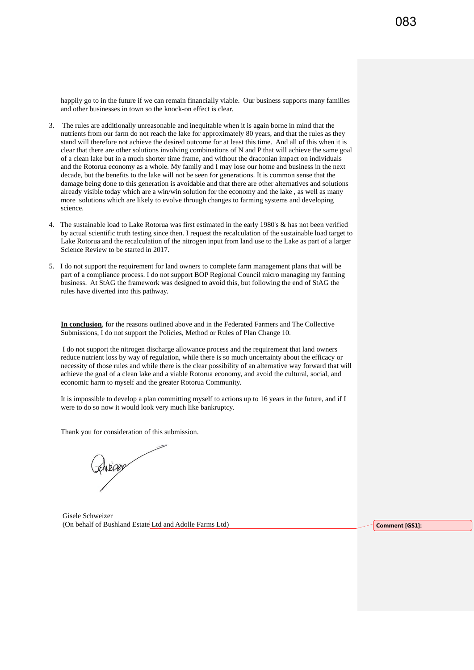happily go to in the future if we can remain financially viable. Our business supports many families and other businesses in town so the knock-on effect is clear.

- 3. The rules are additionally unreasonable and inequitable when it is again borne in mind that the nutrients from our farm do not reach the lake for approximately 80 years, and that the rules as they stand will therefore not achieve the desired outcome for at least this time. And all of this when it is clear that there are other solutions involving combinations of N and P that will achieve the same goal of a clean lake but in a much shorter time frame, and without the draconian impact on individuals and the Rotorua economy as a whole. My family and I may lose our home and business in the next decade, but the benefits to the lake will not be seen for generations. It is common sense that the damage being done to this generation is avoidable and that there are other alternatives and solutions already visible today which are a win/win solution for the economy and the lake , as well as many more solutions which are likely to evolve through changes to farming systems and developing science.
- 4. The sustainable load to Lake Rotorua was first estimated in the early 1980's & has not been verified by actual scientific truth testing since then. I request the recalculation of the sustainable load target to Lake Rotorua and the recalculation of the nitrogen input from land use to the Lake as part of a larger Science Review to be started in 2017.
- 5. I do not support the requirement for land owners to complete farm management plans that will be part of a compliance process. I do not support BOP Regional Council micro managing my farming business. At StAG the framework was designed to avoid this, but following the end of StAG the rules have diverted into this pathway.

**In conclusion**, for the reasons outlined above and in the Federated Farmers and The Collective Submissions, I do not support the Policies, Method or Rules of Plan Change 10.

I do not support the nitrogen discharge allowance process and the requirement that land owners reduce nutrient loss by way of regulation, while there is so much uncertainty about the efficacy or necessity of those rules and while there is the clear possibility of an alternative way forward that will achieve the goal of a clean lake and a viable Rotorua economy, and avoid the cultural, social, and economic harm to myself and the greater Rotorua Community.

It is impossible to develop a plan committing myself to actions up to 16 years in the future, and if I were to do so now it would look very much like bankruptcy.

Thank you for consideration of this submission.

Gisele Schweizer (On behalf of Bushland Estate Ltd and Adolle Farms Ltd) **Comment [GS1]: Comment [GS1]:**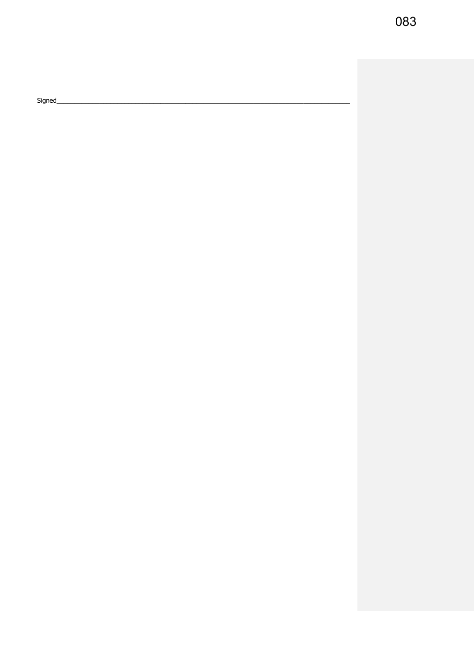083

Signed\_